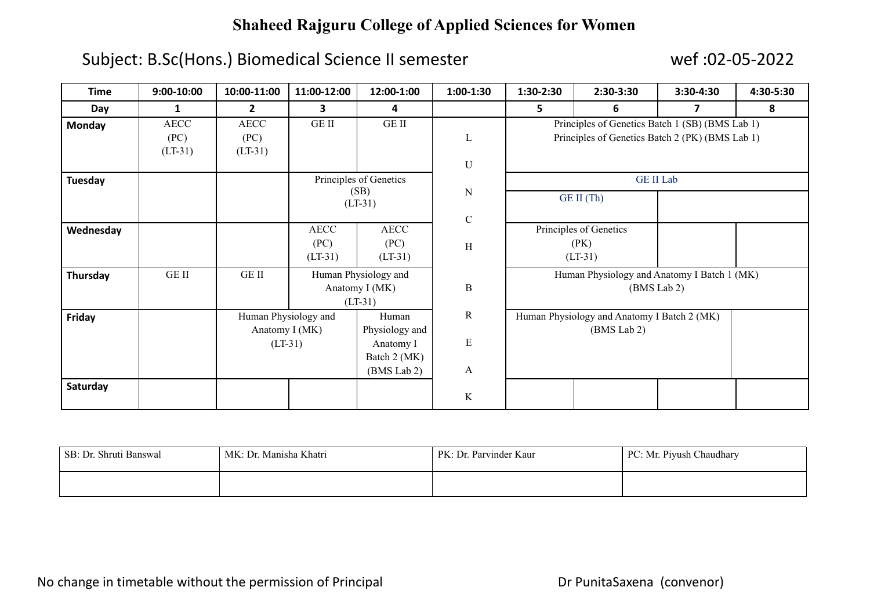# **Shaheed Rajguru College of Applied Sciences for Women**

## Subject: B.Sc(Hons.) Biomedical Science II semester wef :02-05-2022

| <b>Time</b>    | $9:00-10:00$ | 10:00-11:00    | 11:00-12:00          | 12:00-1:00             | $1:00-1:30$ | $1:30-2:30$                                                                                        | 2:30-3:30  | 3:30-4:30 | 4:30-5:30 |
|----------------|--------------|----------------|----------------------|------------------------|-------------|----------------------------------------------------------------------------------------------------|------------|-----------|-----------|
| Day            | $\mathbf{1}$ | $\mathbf{2}$   | 3                    | 4                      |             | 5.                                                                                                 | 6          | 7         | 8         |
| <b>Monday</b>  | <b>AECC</b>  | <b>AECC</b>    | <b>GEII</b>          | <b>GE II</b>           |             | Principles of Genetics Batch 1 (SB) (BMS Lab 1)<br>Principles of Genetics Batch 2 (PK) (BMS Lab 1) |            |           |           |
|                | (PC)         | (PC)           |                      |                        | L           |                                                                                                    |            |           |           |
|                | $(LT-31)$    | $(LT-31)$      |                      |                        |             |                                                                                                    |            |           |           |
|                |              |                |                      |                        | $\mathbf U$ |                                                                                                    |            |           |           |
| <b>Tuesday</b> |              |                |                      | Principles of Genetics |             | <b>GE II Lab</b>                                                                                   |            |           |           |
|                |              |                |                      | (SB)<br>$(LT-31)$      | N           |                                                                                                    | GE II (Th) |           |           |
|                |              |                |                      |                        |             |                                                                                                    |            |           |           |
| Wednesday      |              |                | <b>AECC</b>          | <b>AECC</b>            | $\mathbf C$ | Principles of Genetics                                                                             |            |           |           |
|                |              |                | (PC)                 | (PC)                   | H           |                                                                                                    | (PK)       |           |           |
|                |              |                | $(LT-31)$            | $(LT-31)$              |             |                                                                                                    | $(LT-31)$  |           |           |
| Thursday       | GE II        | $GE$ $\Pi$     |                      | Human Physiology and   |             | Human Physiology and Anatomy I Batch 1 (MK)                                                        |            |           |           |
|                |              |                |                      | Anatomy I (MK)         | $\bf{B}$    | (BMS Lab 2)                                                                                        |            |           |           |
|                |              |                |                      | $(LT-31)$              |             |                                                                                                    |            |           |           |
| Friday         |              |                | Human Physiology and | Human                  | $\mathbf R$ | Human Physiology and Anatomy I Batch 2 (MK)<br>(BMS Lab 2)                                         |            |           |           |
|                |              | Anatomy I (MK) |                      | Physiology and         |             |                                                                                                    |            |           |           |
|                |              | $(LT-31)$      |                      | Anatomy I              | E           |                                                                                                    |            |           |           |
|                |              |                |                      | Batch 2 (MK)           |             |                                                                                                    |            |           |           |
|                |              |                |                      | (BMS Lab 2)            | A           |                                                                                                    |            |           |           |
| Saturday       |              |                |                      |                        |             |                                                                                                    |            |           |           |
|                |              |                |                      |                        | K           |                                                                                                    |            |           |           |

| SB: Dr. Shruti Banswal | MK: Dr. Manisha Khatri | PK: Dr. Parvinder Kaur | PC: Mr. Piyush Chaudhary |
|------------------------|------------------------|------------------------|--------------------------|
|                        |                        |                        |                          |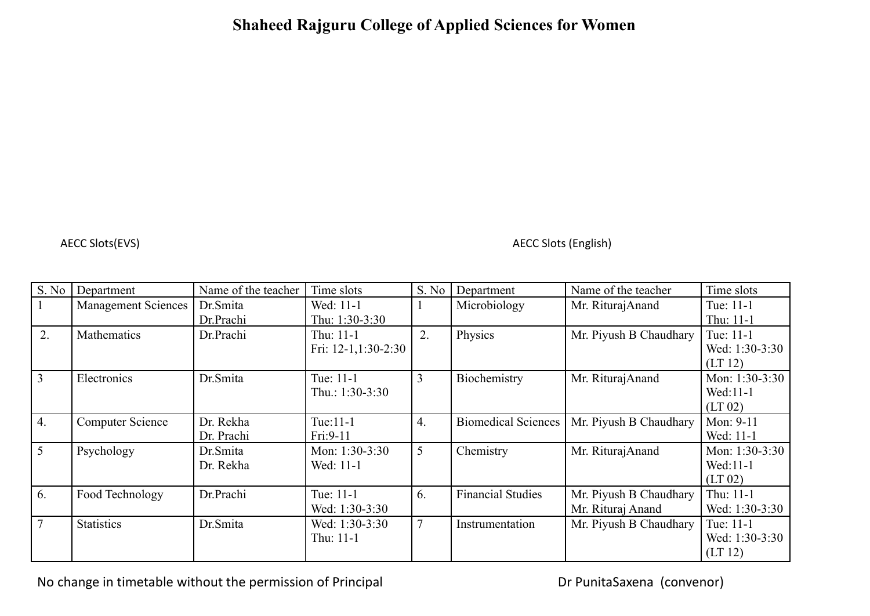### **Shaheed Rajguru College of Applied Sciences for Women**

AECC Slots(EVS) AECC Slots (English)

| S. No            | Department                 | Name of the teacher | Time slots            | S. No          | Department                 | Name of the teacher    | Time slots       |
|------------------|----------------------------|---------------------|-----------------------|----------------|----------------------------|------------------------|------------------|
|                  | <b>Management Sciences</b> | Dr.Smita            | Wed: 11-1             |                | Microbiology               | Mr. RiturajAnand       | Tue: 11-1        |
|                  |                            | Dr.Prachi           | Thu: 1:30-3:30        |                |                            |                        | Thu: 11-1        |
| 2.               | Mathematics                | Dr.Prachi           | Thu: 11-1             | 2.             | Physics                    | Mr. Piyush B Chaudhary | Tue: 11-1        |
|                  |                            |                     | Fri: $12-1,1:30-2:30$ |                |                            |                        | Wed: 1:30-3:30   |
|                  |                            |                     |                       |                |                            |                        | (LT 12)          |
| $\overline{3}$   | Electronics                | Dr.Smita            | Tue: 11-1             | 3              | Biochemistry               | Mr. RiturajAnand       | Mon: 1:30-3:30   |
|                  |                            |                     | Thu.: $1:30-3:30$     |                |                            |                        | Wed:11-1         |
|                  |                            |                     |                       |                |                            |                        | (LT 02)          |
| $\overline{4}$ . | <b>Computer Science</b>    | Dr. Rekha           | Tue:11-1              | 4.             | <b>Biomedical Sciences</b> | Mr. Piyush B Chaudhary | Mon: 9-11        |
|                  |                            | Dr. Prachi          | Fri: 9-11             |                |                            |                        | Wed: 11-1        |
| 5                | Psychology                 | Dr.Smita            | Mon: $1:30-3:30$      | 5              | Chemistry                  | Mr. RiturajAnand       | Mon: $1:30-3:30$ |
|                  |                            | Dr. Rekha           | Wed: 11-1             |                |                            |                        | Wed:11-1         |
|                  |                            |                     |                       |                |                            |                        | (LT 02)          |
| 6.               | Food Technology            | Dr.Prachi           | Tue: 11-1             | 6.             | <b>Financial Studies</b>   | Mr. Piyush B Chaudhary | Thu: 11-1        |
|                  |                            |                     | Wed: 1:30-3:30        |                |                            | Mr. Rituraj Anand      | Wed: 1:30-3:30   |
| $\tau$           | <b>Statistics</b>          | Dr.Smita            | Wed: 1:30-3:30        | $\overline{7}$ | Instrumentation            | Mr. Piyush B Chaudhary | Tue: 11-1        |
|                  |                            |                     | Thu: 11-1             |                |                            |                        | Wed: 1:30-3:30   |
|                  |                            |                     |                       |                |                            |                        | (LT 12)          |

No change in timetable without the permission of Principal **Dream Convents** Dr PunitaSaxena (convenor)